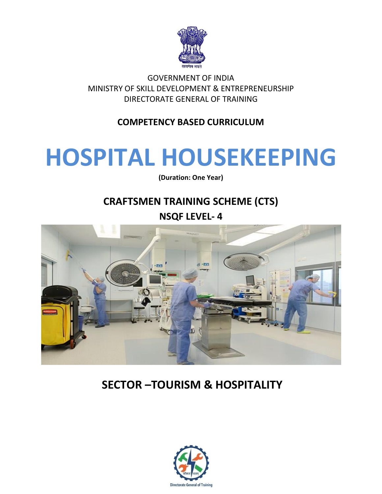

GOVERNMENT OF INDIA MINISTRY OF SKILL DEVELOPMENT & ENTREPRENEURSHIP DIRECTORATE GENERAL OF TRAINING

# **COMPETENCY BASED CURRICULUM**

# **HOSPITAL HOUSEKEEPING**

**(Duration: One Year)**

# **CRAFTSMEN TRAINING SCHEME (CTS)**

**NSQF LEVEL- 4**



# **SECTOR –TOURISM & HOSPITALITY**

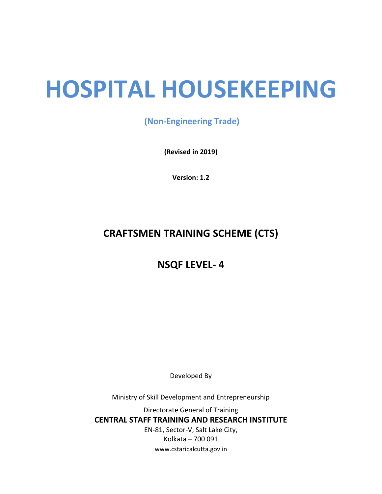# **HOSPITAL HOUSEKEEPING**

**(Non-Engineering Trade)**

**(Revised in 2019)**

**Version: 1.2**

# **CRAFTSMEN TRAINING SCHEME (CTS)**

**NSQF LEVEL- 4**

Developed By

Ministry of Skill Development and Entrepreneurship

Directorate General of Training **CENTRAL STAFF TRAINING AND RESEARCH INSTITUTE** EN-81, Sector-V, Salt Lake City, Kolkata – 700 091 www.cstaricalcutta.gov.in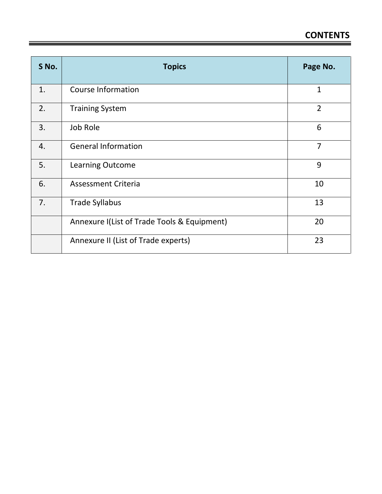| S No. | <b>Topics</b>                               | Page No.       |
|-------|---------------------------------------------|----------------|
| 1.    | <b>Course Information</b>                   | 1              |
| 2.    | <b>Training System</b>                      | $\overline{2}$ |
| 3.    | Job Role                                    | 6              |
| 4.    | <b>General Information</b>                  | $\overline{7}$ |
| 5.    | Learning Outcome                            | 9              |
| 6.    | <b>Assessment Criteria</b>                  | 10             |
| 7.    | <b>Trade Syllabus</b>                       | 13             |
|       | Annexure I(List of Trade Tools & Equipment) | 20             |
|       | Annexure II (List of Trade experts)         | 23             |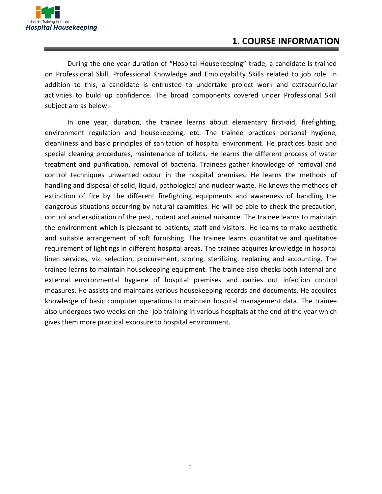

### **1. COURSE INFORMATION**

During the one-year duration of "Hospital Housekeeping" trade, a candidate is trained on Professional Skill, Professional Knowledge and Employability Skills related to job role. In addition to this, a candidate is entrusted to undertake project work and extracurricular activities to build up confidence. The broad components covered under Professional Skill subject are as below:-

In one year, duration, the trainee learns about elementary first-aid, firefighting, environment regulation and housekeeping, etc. The trainee practices personal hygiene, cleanliness and basic principles of sanitation of hospital environment. He practices basic and special cleaning procedures, maintenance of toilets. He learns the different process of water treatment and purification, removal of bacteria. Trainees gather knowledge of removal and control techniques unwanted odour in the hospital premises. He learns the methods of handling and disposal of solid, liquid, pathological and nuclear waste. He knows the methods of extinction of fire by the different firefighting equipments and awareness of handling the dangerous situations occurring by natural calamities. He will be able to check the precaution, control and eradication of the pest, rodent and animal nuisance. The trainee learns to maintain the environment which is pleasant to patients, staff and visitors. He learns to make aesthetic and suitable arrangement of soft furnishing. The trainee learns quantitative and qualitative requirement of lightings in different hospital areas. The trainee acquires knowledge in hospital linen services, viz. selection, procurement, storing, sterilizing, replacing and accounting. The trainee learns to maintain housekeeping equipment. The trainee also checks both internal and external environmental hygiene of hospital premises and carries out infection control measures. He assists and maintains various housekeeping records and documents. He acquires knowledge of basic computer operations to maintain hospital management data. The trainee also undergoes two weeks on-the- job training in various hospitals at the end of the year which gives them more practical exposure to hospital environment.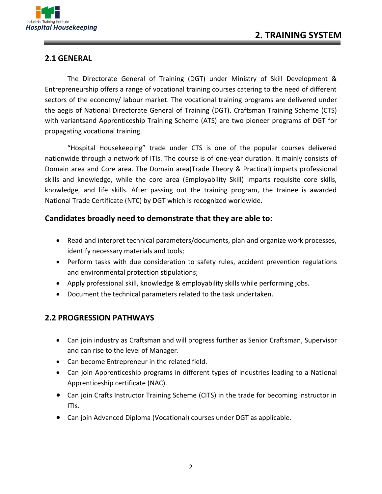

#### **2.1 GENERAL**

The Directorate General of Training (DGT) under Ministry of Skill Development & Entrepreneurship offers a range of vocational training courses catering to the need of different sectors of the economy/ labour market. The vocational training programs are delivered under the aegis of National Directorate General of Training (DGT). Craftsman Training Scheme (CTS) with variantsand Apprenticeship Training Scheme (ATS) are two pioneer programs of DGT for propagating vocational training.

"Hospital Housekeeping" trade under CTS is one of the popular courses delivered nationwide through a network of ITIs. The course is of one-year duration. It mainly consists of Domain area and Core area. The Domain area(Trade Theory & Practical) imparts professional skills and knowledge, while the core area (Employability Skill) imparts requisite core skills, knowledge, and life skills. After passing out the training program, the trainee is awarded National Trade Certificate (NTC) by DGT which is recognized worldwide.

#### **Candidates broadly need to demonstrate that they are able to:**

- Read and interpret technical parameters/documents, plan and organize work processes, identify necessary materials and tools;
- Perform tasks with due consideration to safety rules, accident prevention regulations and environmental protection stipulations;
- Apply professional skill, knowledge & employability skills while performing jobs.
- Document the technical parameters related to the task undertaken.

#### **2.2 PROGRESSION PATHWAYS**

- Can join industry as Craftsman and will progress further as Senior Craftsman, Supervisor and can rise to the level of Manager.
- Can become Entrepreneur in the related field.
- Can join Apprenticeship programs in different types of industries leading to a National Apprenticeship certificate (NAC).
- Can join Crafts Instructor Training Scheme (CITS) in the trade for becoming instructor in ITIs.
- Can join Advanced Diploma (Vocational) courses under DGT as applicable.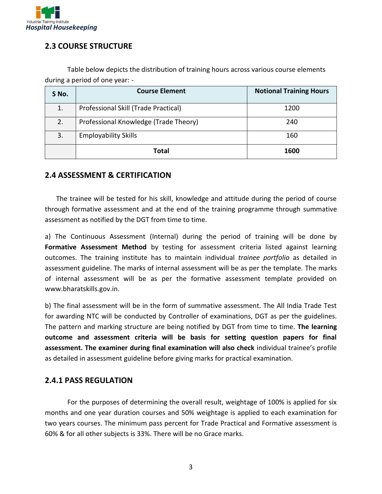

#### **2.3 COURSE STRUCTURE**

Table below depicts the distribution of training hours across various course elements during a period of one year: -

| S No. | <b>Course Element</b>                 | <b>Notional Training Hours</b> |
|-------|---------------------------------------|--------------------------------|
| 1.    | Professional Skill (Trade Practical)  | 1200                           |
| 2.    | Professional Knowledge (Trade Theory) | 240                            |
| 3.    | <b>Employability Skills</b>           | 160                            |
|       | Total                                 | 1600                           |

#### **2.4 ASSESSMENT & CERTIFICATION**

The trainee will be tested for his skill, knowledge and attitude during the period of course through formative assessment and at the end of the training programme through summative assessment as notified by the DGT from time to time.

a) The Continuous Assessment (Internal) during the period of training will be done by Formative Assessment Method by testing for assessment criteria listed against learning outcomes. The training institute has to maintain individual *trainee portfolio* as detailed in assessment guideline. The marks of internal assessment will be as per the template. The marks of internal assessment will be as per the formative assessment template provided on www.bharatskills.gov.in.

b) The final assessment will be in the form of summative assessment. The All India Trade Test for awarding NTC will be conducted by Controller of examinations, DGT as per the guidelines. The pattern and marking structure are being notified by DGT from time to time. **The learning outcome and assessment criteria will be basis for setting question papers for final assessment. The examiner during final examination will also check** individual trainee's profile as detailed in assessment guideline before giving marks for practical examination.

#### **2.4.1 PASS REGULATION**

For the purposes of determining the overall result, weightage of 100% is applied for six months and one year duration courses and 50% weightage is applied to each examination for two years courses. The minimum pass percent for Trade Practical and Formative assessment is 60% & for all other subjects is 33%. There will be no Grace marks.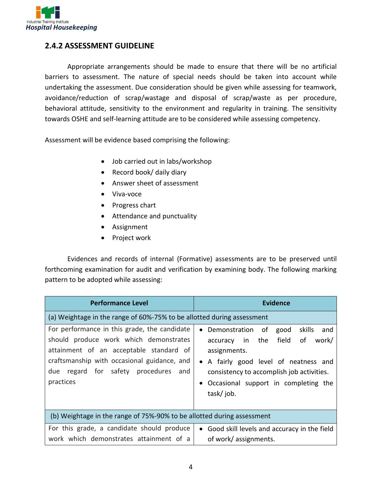

#### **2.4.2 ASSESSMENT GUIDELINE**

Appropriate arrangements should be made to ensure that there will be no artificial barriers to assessment. The nature of special needs should be taken into account while undertaking the assessment. Due consideration should be given while assessing for teamwork, avoidance/reduction of scrap/wastage and disposal of scrap/waste as per procedure, behavioral attitude, sensitivity to the environment and regularity in training. The sensitivity towards OSHE and self-learning attitude are to be considered while assessing competency.

Assessment will be evidence based comprising the following:

- Job carried out in labs/workshop
- Record book/ daily diary
- Answer sheet of assessment
- Viva-voce
- Progress chart
- Attendance and punctuality
- Assignment
- Project work

Evidences and records of internal (Formative) assessments are to be preserved until forthcoming examination for audit and verification by examining body. The following marking pattern to be adopted while assessing:

| <b>Performance Level</b>                                                                                                                                                                                                                 | <b>Evidence</b>                                                                                                                                                                                                                                 |  |  |
|------------------------------------------------------------------------------------------------------------------------------------------------------------------------------------------------------------------------------------------|-------------------------------------------------------------------------------------------------------------------------------------------------------------------------------------------------------------------------------------------------|--|--|
| (a) Weightage in the range of 60%-75% to be allotted during assessment                                                                                                                                                                   |                                                                                                                                                                                                                                                 |  |  |
| For performance in this grade, the candidate<br>should produce work which demonstrates<br>attainment of an acceptable standard of<br>craftsmanship with occasional guidance, and<br>regard for safety procedures and<br>due<br>practices | skills<br>Demonstration<br>of<br>good<br>and<br>accuracy in the field<br>of<br>work/<br>assignments.<br>• A fairly good level of neatness and<br>consistency to accomplish job activities.<br>Occasional support in completing the<br>task/job. |  |  |
| (b) Weightage in the range of 75%-90% to be allotted during assessment                                                                                                                                                                   |                                                                                                                                                                                                                                                 |  |  |
| For this grade, a candidate should produce<br>work which demonstrates attainment of a                                                                                                                                                    | • Good skill levels and accuracy in the field<br>of work/ assignments.                                                                                                                                                                          |  |  |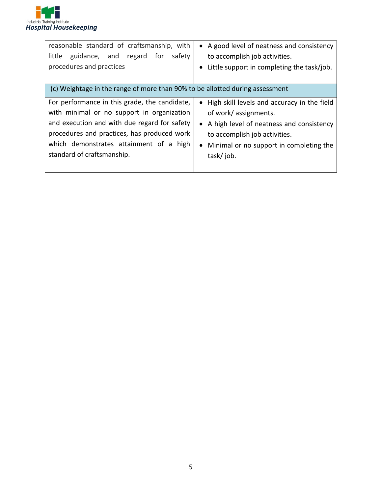

| reasonable standard of craftsmanship, with<br>guidance, and regard<br>for<br>safety<br>little<br>procedures and practices                                                                                                                                           | • A good level of neatness and consistency<br>to accomplish job activities.<br>Little support in completing the task/job.<br>$\bullet$                                                                         |
|---------------------------------------------------------------------------------------------------------------------------------------------------------------------------------------------------------------------------------------------------------------------|----------------------------------------------------------------------------------------------------------------------------------------------------------------------------------------------------------------|
| (c) Weightage in the range of more than 90% to be allotted during assessment                                                                                                                                                                                        |                                                                                                                                                                                                                |
| For performance in this grade, the candidate,<br>with minimal or no support in organization<br>and execution and with due regard for safety<br>procedures and practices, has produced work<br>which demonstrates attainment of a high<br>standard of craftsmanship. | • High skill levels and accuracy in the field<br>of work/assignments.<br>• A high level of neatness and consistency<br>to accomplish job activities.<br>• Minimal or no support in completing the<br>task/job. |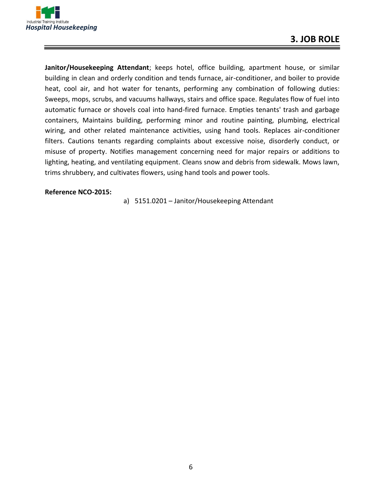

**Janitor/Housekeeping Attendant**; keeps hotel, office building, apartment house, or similar building in clean and orderly condition and tends furnace, air-conditioner, and boiler to provide heat, cool air, and hot water for tenants, performing any combination of following duties: Sweeps, mops, scrubs, and vacuums hallways, stairs and office space. Regulates flow of fuel into automatic furnace or shovels coal into hand-fired furnace. Empties tenants' trash and garbage containers, Maintains building, performing minor and routine painting, plumbing, electrical wiring, and other related maintenance activities, using hand tools. Replaces air-conditioner filters. Cautions tenants regarding complaints about excessive noise, disorderly conduct, or misuse of property. Notifies management concerning need for major repairs or additions to lighting, heating, and ventilating equipment. Cleans snow and debris from sidewalk. Mows lawn, trims shrubbery, and cultivates flowers, using hand tools and power tools.

#### **Reference NCO-2015:**

a) 5151.0201 – Janitor/Housekeeping Attendant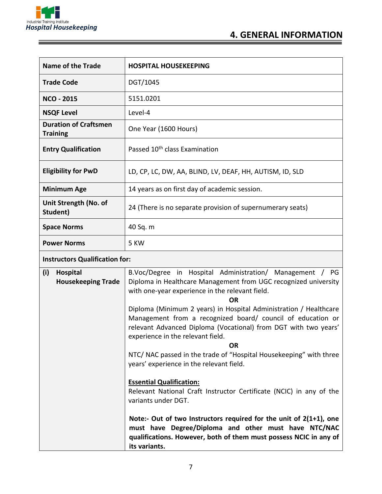

| <b>Name of the Trade</b>                        | <b>HOSPITAL HOUSEKEEPING</b>                               |
|-------------------------------------------------|------------------------------------------------------------|
| <b>Trade Code</b>                               | DGT/1045                                                   |
| <b>NCO - 2015</b>                               | 5151.0201                                                  |
| <b>NSQF Level</b>                               | Level-4                                                    |
| <b>Duration of Craftsmen</b><br><b>Training</b> | One Year (1600 Hours)                                      |
| <b>Entry Qualification</b>                      | Passed 10 <sup>th</sup> class Examination                  |
| <b>Eligibility for PwD</b>                      | LD, CP, LC, DW, AA, BLIND, LV, DEAF, HH, AUTISM, ID, SLD   |
| <b>Minimum Age</b>                              | 14 years as on first day of academic session.              |
| Unit Strength (No. of<br>Student)               | 24 (There is no separate provision of supernumerary seats) |
| <b>Space Norms</b>                              | 40 Sq. m                                                   |
| <b>Power Norms</b>                              | 5 KW                                                       |

### **Instructors Qualification for:**

| (i) | Hospital                  | B.Voc/Degree in Hospital Administration/ Management / PG              |  |  |
|-----|---------------------------|-----------------------------------------------------------------------|--|--|
|     | <b>Housekeeping Trade</b> | Diploma in Healthcare Management from UGC recognized university       |  |  |
|     |                           | with one-year experience in the relevant field.                       |  |  |
|     |                           | <b>OR</b>                                                             |  |  |
|     |                           | Diploma (Minimum 2 years) in Hospital Administration / Healthcare     |  |  |
|     |                           | Management from a recognized board/ council of education or           |  |  |
|     |                           | relevant Advanced Diploma (Vocational) from DGT with two years'       |  |  |
|     |                           | experience in the relevant field.                                     |  |  |
|     |                           | <b>OR</b>                                                             |  |  |
|     |                           | NTC/ NAC passed in the trade of "Hospital Housekeeping" with three    |  |  |
|     |                           | years' experience in the relevant field.                              |  |  |
|     |                           |                                                                       |  |  |
|     |                           | <b>Essential Qualification:</b>                                       |  |  |
|     |                           | Relevant National Craft Instructor Certificate (NCIC) in any of the   |  |  |
|     |                           | variants under DGT.                                                   |  |  |
|     |                           |                                                                       |  |  |
|     |                           | Note:- Out of two Instructors required for the unit of $2(1+1)$ , one |  |  |
|     |                           | must have Degree/Diploma and other must have NTC/NAC                  |  |  |
|     |                           | qualifications. However, both of them must possess NCIC in any of     |  |  |
|     |                           | its variants.                                                         |  |  |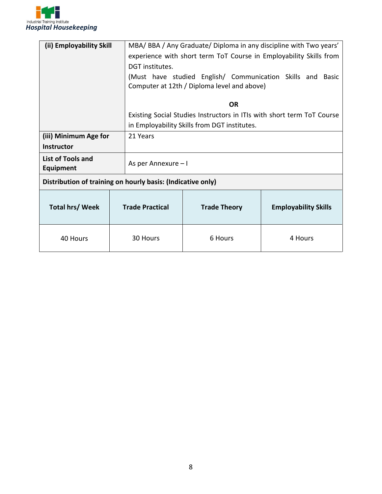

| (ii) Employability Skill                                    |                        | MBA/BBA/Any Graduate/Diploma in any discipline with Two years'         |                             |  |
|-------------------------------------------------------------|------------------------|------------------------------------------------------------------------|-----------------------------|--|
|                                                             |                        | experience with short term ToT Course in Employability Skills from     |                             |  |
|                                                             | DGT institutes.        |                                                                        |                             |  |
|                                                             |                        | (Must have studied English/ Communication Skills and Basic             |                             |  |
|                                                             |                        | Computer at 12th / Diploma level and above)                            |                             |  |
|                                                             |                        |                                                                        |                             |  |
|                                                             |                        | <b>OR</b>                                                              |                             |  |
|                                                             |                        | Existing Social Studies Instructors in ITIs with short term ToT Course |                             |  |
|                                                             |                        | in Employability Skills from DGT institutes.                           |                             |  |
| (iii) Minimum Age for                                       | 21 Years               |                                                                        |                             |  |
| <b>Instructor</b>                                           |                        |                                                                        |                             |  |
| <b>List of Tools and</b><br>Equipment                       |                        | As per Annexure – I                                                    |                             |  |
| Distribution of training on hourly basis: (Indicative only) |                        |                                                                        |                             |  |
| <b>Total hrs/Week</b>                                       | <b>Trade Practical</b> | <b>Trade Theory</b>                                                    | <b>Employability Skills</b> |  |
| 40 Hours                                                    | 30 Hours               | 6 Hours                                                                | 4 Hours                     |  |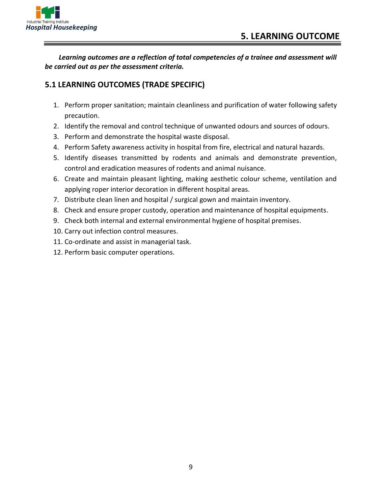

*Learning outcomes are a reflection of total competencies of a trainee and assessment will be carried out as per the assessment criteria.*

#### **5.1 LEARNING OUTCOMES (TRADE SPECIFIC)**

- 1. Perform proper sanitation; maintain cleanliness and purification of water following safety precaution.
- 2. Identify the removal and control technique of unwanted odours and sources of odours.
- 3. Perform and demonstrate the hospital waste disposal.
- 4. Perform Safety awareness activity in hospital from fire, electrical and natural hazards.
- 5. Identify diseases transmitted by rodents and animals and demonstrate prevention, control and eradication measures of rodents and animal nuisance.
- 6. Create and maintain pleasant lighting, making aesthetic colour scheme, ventilation and applying roper interior decoration in different hospital areas.
- 7. Distribute clean linen and hospital / surgical gown and maintain inventory.
- 8. Check and ensure proper custody, operation and maintenance of hospital equipments.
- 9. Check both internal and external environmental hygiene of hospital premises.
- 10. Carry out infection control measures.
- 11. Co-ordinate and assist in managerial task.
- 12. Perform basic computer operations.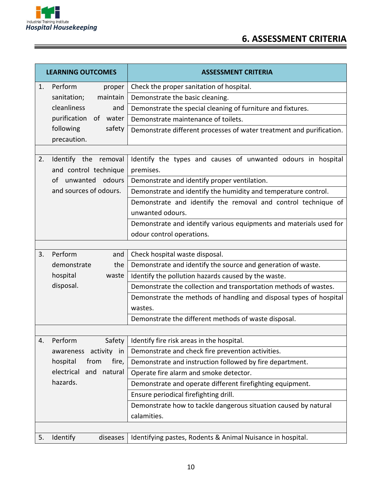

# **6. ASSESSMENT CRITERIA**

| <b>LEARNING OUTCOMES</b> |                                               | <b>ASSESSMENT CRITERIA</b>                                                                      |
|--------------------------|-----------------------------------------------|-------------------------------------------------------------------------------------------------|
| 1.                       | Perform<br>proper                             | Check the proper sanitation of hospital.                                                        |
|                          | sanitation;<br>maintain                       | Demonstrate the basic cleaning.                                                                 |
|                          | cleanliness<br>and                            | Demonstrate the special cleaning of furniture and fixtures.                                     |
|                          | purification<br>of water                      | Demonstrate maintenance of toilets.                                                             |
|                          | following<br>safety<br>precaution.            | Demonstrate different processes of water treatment and purification.                            |
|                          |                                               |                                                                                                 |
| 2.                       | Identify the removal<br>and control technique | Identify the types and causes of unwanted odours in hospital<br>premises.                       |
|                          | unwanted odours<br>of                         | Demonstrate and identify proper ventilation.                                                    |
|                          | and sources of odours.                        | Demonstrate and identify the humidity and temperature control.                                  |
|                          |                                               | Demonstrate and identify the removal and control technique of<br>unwanted odours.               |
|                          |                                               | Demonstrate and identify various equipments and materials used for<br>odour control operations. |
|                          |                                               |                                                                                                 |
| 3.                       | Perform<br>and                                | Check hospital waste disposal.                                                                  |
|                          | the<br>demonstrate                            | Demonstrate and identify the source and generation of waste.                                    |
|                          | hospital<br>waste                             | Identify the pollution hazards caused by the waste.                                             |
|                          | disposal.                                     | Demonstrate the collection and transportation methods of wastes.                                |
|                          |                                               | Demonstrate the methods of handling and disposal types of hospital<br>wastes.                   |
|                          |                                               | Demonstrate the different methods of waste disposal.                                            |
|                          |                                               |                                                                                                 |
| 4.                       | Perform<br>Safety                             | Identify fire risk areas in the hospital.                                                       |
|                          | awareness activity in                         | Demonstrate and check fire prevention activities.                                               |
|                          | fire,<br>hospital<br>from                     | Demonstrate and instruction followed by fire department.                                        |
|                          | electrical<br>and<br>natural                  | Operate fire alarm and smoke detector.                                                          |
|                          | hazards.                                      | Demonstrate and operate different firefighting equipment.                                       |
|                          |                                               | Ensure periodical firefighting drill.                                                           |
|                          |                                               | Demonstrate how to tackle dangerous situation caused by natural                                 |
|                          |                                               | calamities.                                                                                     |
|                          |                                               |                                                                                                 |
| 5.                       | Identify<br>diseases                          | Identifying pastes, Rodents & Animal Nuisance in hospital.                                      |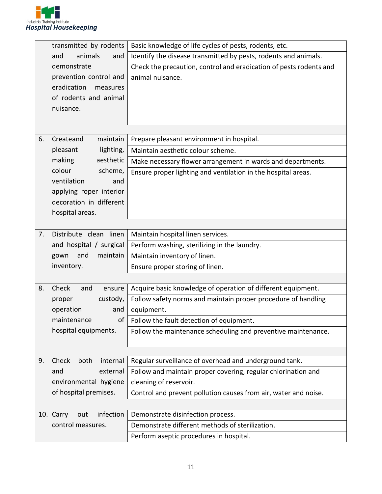

|    | transmitted by rodents        | Basic knowledge of life cycles of pests, rodents, etc.             |
|----|-------------------------------|--------------------------------------------------------------------|
|    | animals<br>and<br>and         | Identify the disease transmitted by pests, rodents and animals.    |
|    | demonstrate                   | Check the precaution, control and eradication of pests rodents and |
|    | prevention control and        | animal nuisance.                                                   |
|    | eradication<br>measures       |                                                                    |
|    | of rodents and animal         |                                                                    |
|    | nuisance.                     |                                                                    |
|    |                               |                                                                    |
|    |                               |                                                                    |
| 6. | maintain<br>Createand         | Prepare pleasant environment in hospital.                          |
|    | pleasant<br>lighting,         | Maintain aesthetic colour scheme.                                  |
|    | making<br>aesthetic           | Make necessary flower arrangement in wards and departments.        |
|    | colour<br>scheme,             | Ensure proper lighting and ventilation in the hospital areas.      |
|    | ventilation<br>and            |                                                                    |
|    | applying roper interior       |                                                                    |
|    | decoration in different       |                                                                    |
|    | hospital areas.               |                                                                    |
|    |                               |                                                                    |
| 7. | Distribute clean linen        | Maintain hospital linen services.                                  |
|    | and hospital / surgical       | Perform washing, sterilizing in the laundry.                       |
|    | maintain<br>and<br>gown       | Maintain inventory of linen.                                       |
|    | inventory.                    | Ensure proper storing of linen.                                    |
|    |                               |                                                                    |
| 8. | Check<br>and<br>ensure        | Acquire basic knowledge of operation of different equipment.       |
|    | custody,<br>proper            | Follow safety norms and maintain proper procedure of handling      |
|    | operation<br>and              | equipment.                                                         |
|    | maintenance<br>of             | Follow the fault detection of equipment.                           |
|    | hospital equipments.          | Follow the maintenance scheduling and preventive maintenance.      |
|    |                               |                                                                    |
|    |                               |                                                                    |
| 9. | Check<br>both<br>internal     | Regular surveillance of overhead and underground tank.             |
|    | external<br>and               | Follow and maintain proper covering, regular chlorination and      |
|    | environmental hygiene         | cleaning of reservoir.                                             |
|    | of hospital premises.         | Control and prevent pollution causes from air, water and noise.    |
|    |                               |                                                                    |
|    | infection<br>10. Carry<br>out | Demonstrate disinfection process.                                  |
|    | control measures.             | Demonstrate different methods of sterilization.                    |
|    |                               | Perform aseptic procedures in hospital.                            |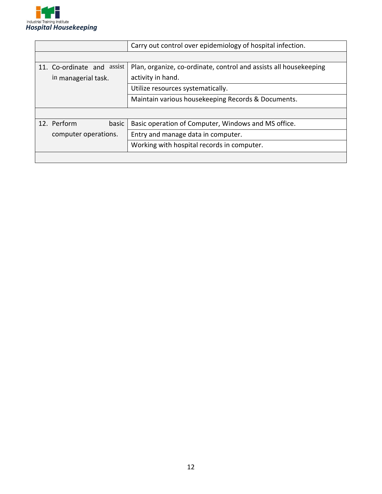

|                            | Carry out control over epidemiology of hospital infection.        |  |
|----------------------------|-------------------------------------------------------------------|--|
|                            |                                                                   |  |
| 11. Co-ordinate and assist | Plan, organize, co-ordinate, control and assists all housekeeping |  |
| in managerial task.        | activity in hand.                                                 |  |
|                            | Utilize resources systematically.                                 |  |
|                            | Maintain various housekeeping Records & Documents.                |  |
|                            |                                                                   |  |
| 12. Perform<br>basic       | Basic operation of Computer, Windows and MS office.               |  |
| computer operations.       | Entry and manage data in computer.                                |  |
|                            | Working with hospital records in computer.                        |  |
|                            |                                                                   |  |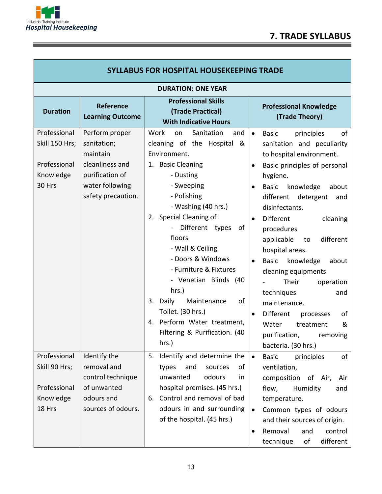

| <b>SYLLABUS FOR HOSPITAL HOUSEKEEPING TRADE</b>                       |                                                                                                                          |                                                                                                                                                                                                                                                                                                                                                                                                                                                                            |                                                                                                                                                                                                                                                                                                                                                                                                                                                                                                                                                                                                                                          |  |
|-----------------------------------------------------------------------|--------------------------------------------------------------------------------------------------------------------------|----------------------------------------------------------------------------------------------------------------------------------------------------------------------------------------------------------------------------------------------------------------------------------------------------------------------------------------------------------------------------------------------------------------------------------------------------------------------------|------------------------------------------------------------------------------------------------------------------------------------------------------------------------------------------------------------------------------------------------------------------------------------------------------------------------------------------------------------------------------------------------------------------------------------------------------------------------------------------------------------------------------------------------------------------------------------------------------------------------------------------|--|
| <b>DURATION: ONE YEAR</b>                                             |                                                                                                                          |                                                                                                                                                                                                                                                                                                                                                                                                                                                                            |                                                                                                                                                                                                                                                                                                                                                                                                                                                                                                                                                                                                                                          |  |
| <b>Duration</b>                                                       | <b>Reference</b><br><b>Learning Outcome</b>                                                                              | <b>Professional Skills</b><br>(Trade Practical)<br><b>With Indicative Hours</b>                                                                                                                                                                                                                                                                                                                                                                                            | <b>Professional Knowledge</b><br>(Trade Theory)                                                                                                                                                                                                                                                                                                                                                                                                                                                                                                                                                                                          |  |
| Professional<br>Skill 150 Hrs;<br>Professional<br>Knowledge<br>30 Hrs | Perform proper<br>sanitation;<br>maintain<br>cleanliness and<br>purification of<br>water following<br>safety precaution. | Work<br>Sanitation<br>on<br>and<br>cleaning of the Hospital<br>&<br>Environment.<br>1. Basic Cleaning<br>- Dusting<br>- Sweeping<br>- Polishing<br>- Washing (40 hrs.)<br>2. Special Cleaning of<br>Different types<br>of<br>floors<br>- Wall & Ceiling<br>- Doors & Windows<br>- Furniture & Fixtures<br>- Venetian Blinds (40<br>hrs.)<br>Daily<br>of<br>3.<br>Maintenance<br>Toilet. (30 hrs.)<br>4. Perform Water treatment,<br>Filtering & Purification. (40<br>hrs.) | of<br>principles<br><b>Basic</b><br>$\bullet$<br>sanitation and peculiarity<br>to hospital environment.<br>Basic principles of personal<br>$\bullet$<br>hygiene.<br><b>Basic</b><br>knowledge<br>about<br>$\bullet$<br>different<br>detergent<br>and<br>disinfectants.<br>Different<br>cleaning<br>$\bullet$<br>procedures<br>different<br>applicable<br>to<br>hospital areas.<br>Basic<br>knowledge<br>about<br>$\bullet$<br>cleaning equipments<br>Their<br>operation<br>techniques<br>and<br>maintenance.<br>Different<br>processes<br>οf<br>$\bullet$<br>Water<br>&<br>treatment<br>purification,<br>removing<br>bacteria. (30 hrs.) |  |
| Professional<br>Skill 90 Hrs;<br>Professional<br>Knowledge<br>18 Hrs  | Identify the<br>removal and<br>control technique<br>of unwanted<br>odours and<br>sources of odours.                      | Identify and determine the<br>5.<br>οf<br>types<br>and<br>sources<br>odours<br>unwanted<br>in<br>hospital premises. (45 hrs.)<br>6. Control and removal of bad<br>odours in and surrounding                                                                                                                                                                                                                                                                                | of<br><b>Basic</b><br>principles<br>$\bullet$<br>ventilation,<br>composition of Air,<br>Air<br>flow,<br>Humidity<br>and<br>temperature.<br>Common types of odours<br>$\bullet$                                                                                                                                                                                                                                                                                                                                                                                                                                                           |  |
|                                                                       |                                                                                                                          | of the hospital. (45 hrs.)                                                                                                                                                                                                                                                                                                                                                                                                                                                 | and their sources of origin.<br>Removal<br>and<br>control<br>$\bullet$<br>different<br>technique<br>of                                                                                                                                                                                                                                                                                                                                                                                                                                                                                                                                   |  |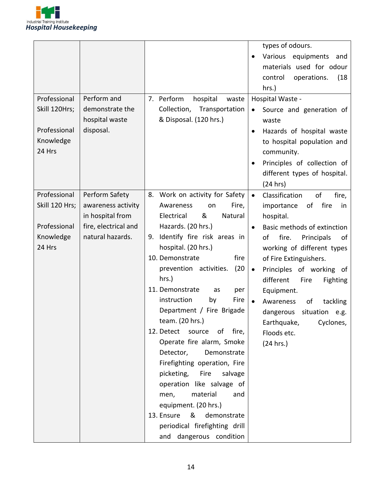

| Professional<br>Skill 120Hrs;<br>Professional<br>Knowledge<br>24 Hrs  | Perform and<br>demonstrate the<br>hospital waste<br>disposal.                                        | 7. Perform<br>hospital<br>waste<br>Collection, Transportation<br>& Disposal. (120 hrs.)                                                                                                                                                                                                                                                                                                                                                                                                                                                                                                                                                                                                                         | types of odours.<br>Various equipments and<br>materials used for odour<br>control<br>operations.<br>(18)<br>hrs.)<br>Hospital Waste -<br>Source and generation of<br>$\bullet$<br>waste<br>Hazards of hospital waste<br>to hospital population and<br>community.<br>Principles of collection of<br>different types of hospital.<br>(24 hrs)                                                                                              |
|-----------------------------------------------------------------------|------------------------------------------------------------------------------------------------------|-----------------------------------------------------------------------------------------------------------------------------------------------------------------------------------------------------------------------------------------------------------------------------------------------------------------------------------------------------------------------------------------------------------------------------------------------------------------------------------------------------------------------------------------------------------------------------------------------------------------------------------------------------------------------------------------------------------------|------------------------------------------------------------------------------------------------------------------------------------------------------------------------------------------------------------------------------------------------------------------------------------------------------------------------------------------------------------------------------------------------------------------------------------------|
| Professional<br>Skill 120 Hrs;<br>Professional<br>Knowledge<br>24 Hrs | Perform Safety<br>awareness activity<br>in hospital from<br>fire, electrical and<br>natural hazards. | 8. Work on activity for Safety<br>Fire,<br>Awareness<br>on<br>&<br>Natural<br>Electrical<br>Hazards. (20 hrs.)<br>Identify fire risk areas in<br>9.<br>hospital. (20 hrs.)<br>10. Demonstrate<br>fire<br>prevention activities.<br>(20<br>hrs.)<br>11. Demonstrate<br>as<br>per<br>Fire<br>instruction<br>by<br>Department / Fire Brigade<br>team. (20 hrs.)<br>12. Detect source<br>of<br>fire,<br>Operate fire alarm, Smoke<br>Demonstrate<br>Detector,<br>Firefighting operation, Fire<br>picketing,<br><b>Fire</b><br>salvage<br>operation like salvage of<br>material<br>and<br>men,<br>equipment. (20 hrs.)<br>13. Ensure<br>demonstrate<br>&<br>periodical firefighting drill<br>and dangerous condition | Classification<br>of<br>fire,<br>$\bullet$<br>fire<br>importance<br>of<br>in<br>hospital.<br>Basic methods of extinction<br>of<br>fire.<br>Principals<br>of<br>working of different types<br>of Fire Extinguishers.<br>Principles of working of<br>$\bullet$<br>different<br>Fire<br><b>Fighting</b><br>Equipment.<br>Awareness<br>of<br>tackling<br>dangerous<br>situation e.g.<br>Earthquake,<br>Cyclones,<br>Floods etc.<br>(24 hrs.) |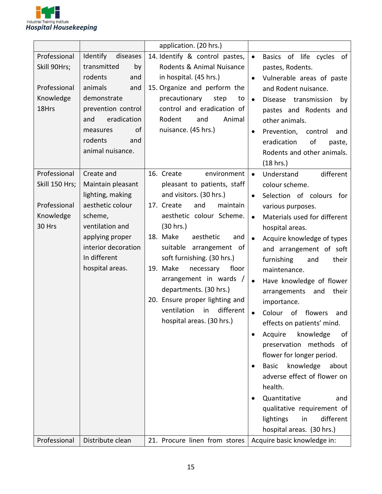

|                                                                       |                                                                                                                                                                                                  | application. (20 hrs.)                                                                                                                                                                                                                                                                                                                                                                                                                        |                                                                                                                                                                                                                                                                                                                                                                                                                                                                                                                                                                                                                                                                                                                                                                               |
|-----------------------------------------------------------------------|--------------------------------------------------------------------------------------------------------------------------------------------------------------------------------------------------|-----------------------------------------------------------------------------------------------------------------------------------------------------------------------------------------------------------------------------------------------------------------------------------------------------------------------------------------------------------------------------------------------------------------------------------------------|-------------------------------------------------------------------------------------------------------------------------------------------------------------------------------------------------------------------------------------------------------------------------------------------------------------------------------------------------------------------------------------------------------------------------------------------------------------------------------------------------------------------------------------------------------------------------------------------------------------------------------------------------------------------------------------------------------------------------------------------------------------------------------|
| Professional<br>Skill 90Hrs;<br>Professional<br>Knowledge<br>18Hrs    | Identify<br>diseases<br>transmitted<br>by<br>rodents<br>and<br>animals<br>and<br>demonstrate<br>prevention control<br>eradication<br>and<br>of<br>measures<br>rodents<br>and<br>animal nuisance. | 14. Identify & control pastes,<br>Rodents & Animal Nuisance<br>in hospital. (45 hrs.)<br>15. Organize and perform the<br>precautionary<br>step<br>to<br>control and eradication of<br>Animal<br>Rodent<br>and<br>nuisance. (45 hrs.)                                                                                                                                                                                                          | Basics of<br>life cycles of<br>$\bullet$<br>pastes, Rodents.<br>Vulnerable areas of paste<br>$\bullet$<br>and Rodent nuisance.<br>Disease transmission<br>$\bullet$<br>by<br>pastes and Rodents and<br>other animals.<br>Prevention, control<br>$\bullet$<br>and<br>eradication<br>of<br>paste,<br>Rodents and other animals.<br>(18 hrs.)                                                                                                                                                                                                                                                                                                                                                                                                                                    |
| Professional<br>Skill 150 Hrs;<br>Professional<br>Knowledge<br>30 Hrs | Create and<br>Maintain pleasant<br>lighting, making<br>aesthetic colour<br>scheme,<br>ventilation and<br>applying proper<br>interior decoration<br>In different<br>hospital areas.               | 16. Create<br>environment<br>pleasant to patients, staff<br>and visitors. (30 hrs.)<br>17. Create<br>and<br>maintain<br>aesthetic colour Scheme.<br>(30 hrs.)<br>18. Make<br>aesthetic<br>and<br>suitable arrangement of<br>soft furnishing. (30 hrs.)<br>19. Make<br>necessary<br>floor<br>arrangement in wards /<br>departments. (30 hrs.)<br>20. Ensure proper lighting and<br>ventilation<br>different<br>in<br>hospital areas. (30 hrs.) | different<br>Understand<br>$\bullet$<br>colour scheme.<br>Selection of colours for<br>$\bullet$<br>various purposes.<br>Materials used for different<br>$\bullet$<br>hospital areas.<br>Acquire knowledge of types<br>and arrangement of soft<br>furnishing<br>and<br>their<br>maintenance.<br>Have knowledge of flower<br>$\bullet$<br>their<br>arrangements<br>and<br>importance.<br>Colour<br>of<br>flowers<br>and<br>effects on patients' mind.<br>Acquire<br>knowledge<br>of<br>$\bullet$<br>preservation methods<br>of<br>flower for longer period.<br><b>Basic</b><br>knowledge<br>about<br>٠<br>adverse effect of flower on<br>health.<br>Quantitative<br>and<br>$\bullet$<br>qualitative requirement of<br>different<br>lightings<br>in<br>hospital areas. (30 hrs.) |
| Professional                                                          | Distribute clean                                                                                                                                                                                 | 21. Procure linen from stores                                                                                                                                                                                                                                                                                                                                                                                                                 | Acquire basic knowledge in:                                                                                                                                                                                                                                                                                                                                                                                                                                                                                                                                                                                                                                                                                                                                                   |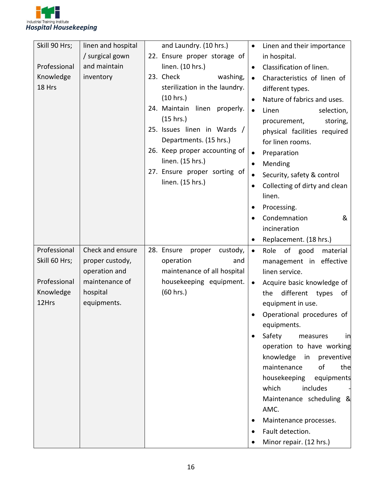

| Skill 90 Hrs; | linen and hospital              | and Laundry. (10 hrs.)                                 |           | Linen and their importance                                 |
|---------------|---------------------------------|--------------------------------------------------------|-----------|------------------------------------------------------------|
|               | / surgical gown                 | 22. Ensure proper storage of                           |           | in hospital.                                               |
| Professional  | and maintain                    | linen. (10 hrs.)                                       | $\bullet$ | Classification of linen.                                   |
| Knowledge     | inventory                       | 23. Check<br>washing,                                  | $\bullet$ | Characteristics of linen of                                |
| 18 Hrs        |                                 | sterilization in the laundry.                          |           | different types.                                           |
|               |                                 | (10 hrs.)                                              | $\bullet$ | Nature of fabrics and uses.                                |
|               |                                 | 24. Maintain linen<br>properly.                        | $\bullet$ | Linen<br>selection,                                        |
|               |                                 | (15 hrs.)                                              |           | storing,<br>procurement,                                   |
|               |                                 | 25. Issues linen in Wards /                            |           | physical facilities required                               |
|               |                                 | Departments. (15 hrs.)                                 |           | for linen rooms.                                           |
|               |                                 | 26. Keep proper accounting of                          | $\bullet$ | Preparation                                                |
|               |                                 | linen. (15 hrs.)                                       | $\bullet$ | Mending                                                    |
|               |                                 | 27. Ensure proper sorting of<br>linen. (15 hrs.)       |           | Security, safety & control                                 |
|               |                                 |                                                        | $\bullet$ | Collecting of dirty and clean                              |
|               |                                 |                                                        |           | linen.                                                     |
|               |                                 |                                                        |           | Processing.                                                |
|               |                                 |                                                        |           | Condemnation<br>&                                          |
|               |                                 |                                                        |           | incineration                                               |
|               |                                 |                                                        | $\bullet$ | Replacement. (18 hrs.)                                     |
| Professional  | Check and ensure                | 28. Ensure<br>proper<br>custody,                       | $\bullet$ | of good<br>material<br>Role                                |
| Skill 60 Hrs; | proper custody,                 | operation<br>and                                       |           | management in<br>effective                                 |
| Professional  | operation and<br>maintenance of | maintenance of all hospital<br>housekeeping equipment. |           | linen service.                                             |
| Knowledge     | hospital                        | (60 hrs.)                                              |           | Acquire basic knowledge of<br>different types<br>the<br>of |
| 12Hrs         | equipments.                     |                                                        |           | equipment in use.                                          |
|               |                                 |                                                        |           | Operational procedures of                                  |
|               |                                 |                                                        |           | equipments.                                                |
|               |                                 |                                                        | $\bullet$ | Safety<br>measures<br>in                                   |
|               |                                 |                                                        |           | operation to have working                                  |
|               |                                 |                                                        |           | knowledge<br>in<br>preventive                              |
|               |                                 |                                                        |           | maintenance<br>of<br>the                                   |
|               |                                 |                                                        |           | housekeeping<br>equipments                                 |
|               |                                 |                                                        |           | which<br>includes                                          |
|               |                                 |                                                        |           | Maintenance scheduling &                                   |
|               |                                 |                                                        |           | AMC.                                                       |
|               |                                 |                                                        |           | Maintenance processes.                                     |
|               |                                 |                                                        |           | Fault detection.                                           |
|               |                                 |                                                        |           | Minor repair. (12 hrs.)                                    |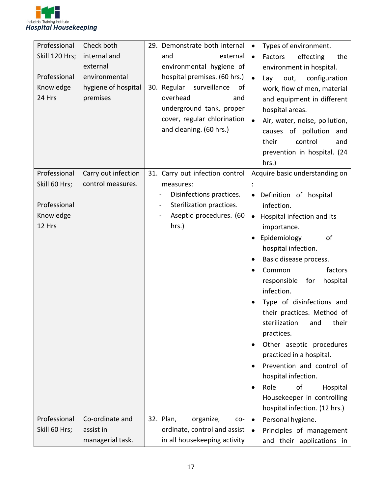

| Professional        | Check both          | 29. Demonstrate both internal                                                   | Types of environment.<br>$\bullet$        |
|---------------------|---------------------|---------------------------------------------------------------------------------|-------------------------------------------|
| Skill 120 Hrs;      | internal and        | and<br>external                                                                 | effecting<br>Factors<br>the<br>$\bullet$  |
|                     | external            | environmental hygiene of                                                        | environment in hospital.                  |
| Professional        | environmental       | hospital premises. (60 hrs.)                                                    | configuration<br>$\bullet$<br>Lay<br>out, |
| Knowledge           | hygiene of hospital | 30. Regular<br>surveillance<br>of                                               | work, flow of men, material               |
| 24 Hrs              | premises            | overhead<br>and                                                                 | and equipment in different                |
|                     |                     | underground tank, proper                                                        | hospital areas.                           |
|                     |                     | cover, regular chlorination                                                     | Air, water, noise, pollution,             |
|                     |                     | and cleaning. (60 hrs.)                                                         | causes of pollution<br>and                |
|                     |                     |                                                                                 | control<br>their<br>and                   |
|                     |                     |                                                                                 | prevention in hospital. (24               |
|                     |                     |                                                                                 | hrs.)                                     |
| Professional        | Carry out infection | 31. Carry out infection control                                                 | Acquire basic understanding on            |
| Skill 60 Hrs;       | control measures.   | measures:                                                                       |                                           |
| Professional        |                     | Disinfections practices.                                                        | Definition of hospital                    |
|                     |                     | Sterilization practices.<br>$\overline{\phantom{a}}$<br>Aseptic procedures. (60 | infection.                                |
| Knowledge<br>12 Hrs |                     | hrs.)                                                                           | Hospital infection and its<br>$\bullet$   |
|                     |                     |                                                                                 | importance.<br>of                         |
|                     |                     |                                                                                 | Epidemiology<br>hospital infection.       |
|                     |                     |                                                                                 | Basic disease process.<br>$\bullet$       |
|                     |                     |                                                                                 | Common<br>factors<br>٠                    |
|                     |                     |                                                                                 | responsible<br>hospital<br>for            |
|                     |                     |                                                                                 | infection.                                |
|                     |                     |                                                                                 | Type of disinfections and                 |
|                     |                     |                                                                                 | their practices. Method of                |
|                     |                     |                                                                                 | sterilization<br>their<br>and             |
|                     |                     |                                                                                 | practices.                                |
|                     |                     |                                                                                 | Other aseptic procedures                  |
|                     |                     |                                                                                 | practiced in a hospital.                  |
|                     |                     |                                                                                 | Prevention and control of<br>$\bullet$    |
|                     |                     |                                                                                 | hospital infection.                       |
|                     |                     |                                                                                 | Role<br>of<br>Hospital<br>$\bullet$       |
|                     |                     |                                                                                 | Housekeeper in controlling                |
|                     |                     |                                                                                 | hospital infection. (12 hrs.)             |
| Professional        | Co-ordinate and     | 32. Plan,<br>organize,<br>$CO -$                                                | Personal hygiene.<br>$\bullet$            |
| Skill 60 Hrs;       | assist in           | ordinate, control and assist                                                    | Principles of management                  |
|                     | managerial task.    | in all housekeeping activity                                                    | and their applications in                 |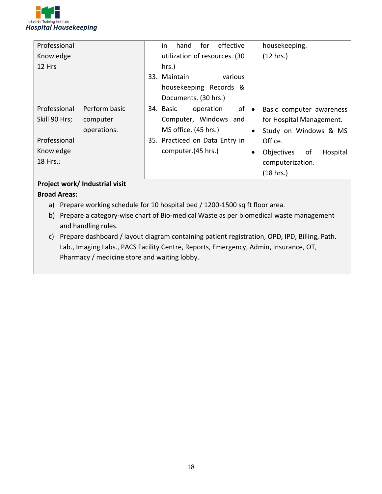

| Professional  |               | effective<br>for<br>housekeeping.<br>hand<br>in                       |
|---------------|---------------|-----------------------------------------------------------------------|
| Knowledge     |               | (12 hrs.)<br>utilization of resources. (30                            |
| 12 Hrs        |               | hrs.)                                                                 |
|               |               | 33. Maintain<br>various                                               |
|               |               | housekeeping Records &                                                |
|               |               | Documents. (30 hrs.)                                                  |
| Professional  | Perform basic | of<br>34. Basic<br>operation<br>Basic computer awareness<br>$\bullet$ |
| Skill 90 Hrs; | computer      | Computer, Windows and<br>for Hospital Management.                     |
|               | operations.   | MS office. (45 hrs.)<br>Study on Windows & MS<br>$\bullet$            |
| Professional  |               | 35. Practiced on Data Entry in<br>Office.                             |
| Knowledge     |               | computer.(45 hrs.)<br>Objectives<br>of<br>Hospital<br>٠               |
| 18 Hrs.;      |               | computerization.                                                      |
|               |               | (18 hrs.)                                                             |

#### **Project work/ Industrial visit**

#### **Broad Areas:**

- a) Prepare working schedule for 10 hospital bed / 1200-1500 sq ft floor area.
- b) Prepare a category-wise chart of Bio-medical Waste as per biomedical waste management and handling rules.
- c) Prepare dashboard / layout diagram containing patient registration, OPD, IPD, Billing, Path. Lab., Imaging Labs., PACS Facility Centre, Reports, Emergency, Admin, Insurance, OT, Pharmacy / medicine store and waiting lobby.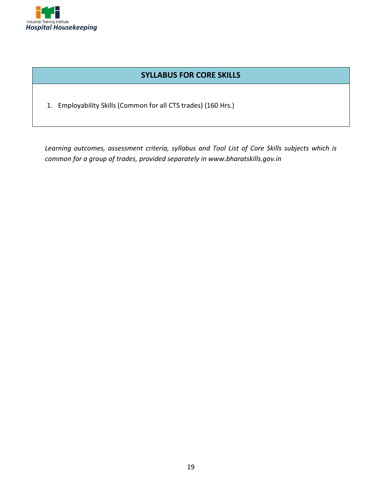

#### **SYLLABUS FOR CORE SKILLS**

1. Employability Skills (Common for all CTS trades) (160 Hrs.)

*Learning outcomes, assessment criteria, syllabus and Tool List of Core Skills subjects which is common for a group of trades, provided separately in www.bharatskills.gov.in*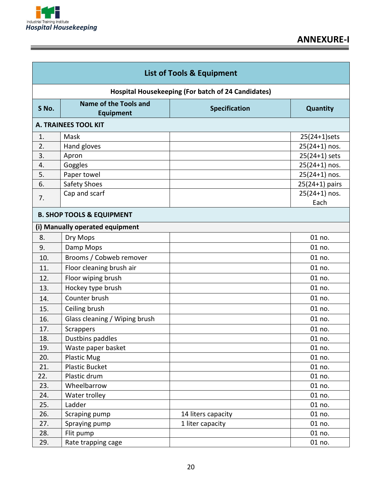

î

|       | <b>List of Tools &amp; Equipment</b>             |                                                           |                 |
|-------|--------------------------------------------------|-----------------------------------------------------------|-----------------|
|       |                                                  | <b>Hospital Housekeeping (For batch of 24 Candidates)</b> |                 |
| S No. | <b>Name of the Tools and</b><br><b>Equipment</b> | <b>Specification</b>                                      | Quantity        |
|       | <b>A. TRAINEES TOOL KIT</b>                      |                                                           |                 |
| 1.    | Mask                                             |                                                           | 25(24+1)sets    |
| 2.    | Hand gloves                                      |                                                           | $25(24+1)$ nos. |
| 3.    | Apron                                            |                                                           | $25(24+1)$ sets |
| 4.    | Goggles                                          |                                                           | $25(24+1)$ nos. |
| 5.    | Paper towel                                      |                                                           | $25(24+1)$ nos. |
| 6.    | Safety Shoes                                     |                                                           | 25(24+1) pairs  |
| 7.    | Cap and scarf                                    |                                                           | $25(24+1)$ nos. |
|       |                                                  |                                                           | Each            |
|       | <b>B. SHOP TOOLS &amp; EQUIPMENT</b>             |                                                           |                 |
|       | (i) Manually operated equipment                  |                                                           |                 |
| 8.    | Dry Mops                                         |                                                           | 01 no.          |
| 9.    | Damp Mops                                        |                                                           | 01 no.          |
| 10.   | Brooms / Cobweb remover                          |                                                           | 01 no.          |
| 11.   | Floor cleaning brush air                         |                                                           | 01 no.          |
| 12.   | Floor wiping brush                               |                                                           | 01 no.          |
| 13.   | Hockey type brush                                |                                                           | 01 no.          |
| 14.   | Counter brush                                    |                                                           | 01 no.          |
| 15.   | Ceiling brush                                    |                                                           | 01 no.          |
| 16.   | Glass cleaning / Wiping brush                    |                                                           | 01 no.          |
| 17.   | Scrappers                                        |                                                           | 01 no.          |
| 18.   | Dustbins paddles                                 |                                                           | 01 no.          |
| 19.   | Waste paper basket                               |                                                           | 01 no.          |
| 20.   | <b>Plastic Mug</b>                               |                                                           | 01 no.          |
| 21.   | <b>Plastic Bucket</b>                            |                                                           | 01 no.          |
| 22.   | Plastic drum                                     |                                                           | 01 no.          |
| 23.   | Wheelbarrow                                      |                                                           | 01 no.          |
| 24.   | Water trolley                                    |                                                           | 01 no.          |
| 25.   | Ladder                                           |                                                           | 01 no.          |
| 26.   | Scraping pump                                    | 14 liters capacity                                        | 01 no.          |
| 27.   | Spraying pump                                    | 1 liter capacity                                          | 01 no.          |
| 28.   | Flit pump                                        |                                                           | 01 no.          |
| 29.   | Rate trapping cage                               |                                                           | 01 no.          |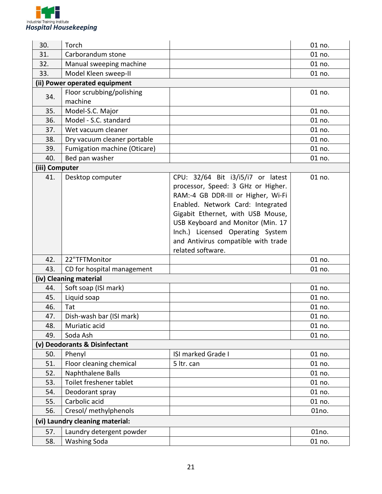

| 30.                             | Torch                                                                                                               |                                                                                                                                                                                                                                                                                         | 01 no.                                         |
|---------------------------------|---------------------------------------------------------------------------------------------------------------------|-----------------------------------------------------------------------------------------------------------------------------------------------------------------------------------------------------------------------------------------------------------------------------------------|------------------------------------------------|
| 31.                             | Carborandum stone                                                                                                   |                                                                                                                                                                                                                                                                                         | 01 no.                                         |
| 32.                             | Manual sweeping machine                                                                                             |                                                                                                                                                                                                                                                                                         | 01 no.                                         |
| 33.                             | Model Kleen sweep-II                                                                                                |                                                                                                                                                                                                                                                                                         | 01 no.                                         |
|                                 | (ii) Power operated equipment                                                                                       |                                                                                                                                                                                                                                                                                         |                                                |
| 34.                             | Floor scrubbing/polishing<br>machine                                                                                |                                                                                                                                                                                                                                                                                         | 01 no.                                         |
| 35.                             | Model-S.C. Major                                                                                                    |                                                                                                                                                                                                                                                                                         | 01 no.                                         |
| 36.                             | Model - S.C. standard                                                                                               |                                                                                                                                                                                                                                                                                         | 01 no.                                         |
| 37.                             | Wet vacuum cleaner                                                                                                  |                                                                                                                                                                                                                                                                                         | 01 no.                                         |
| 38.                             | Dry vacuum cleaner portable                                                                                         |                                                                                                                                                                                                                                                                                         | 01 no.                                         |
| 39.                             | Fumigation machine (Oticare)                                                                                        |                                                                                                                                                                                                                                                                                         | 01 no.                                         |
| 40.                             | Bed pan washer                                                                                                      |                                                                                                                                                                                                                                                                                         | 01 no.                                         |
| (iii) Computer                  |                                                                                                                     |                                                                                                                                                                                                                                                                                         |                                                |
| 41.                             | Desktop computer                                                                                                    | CPU: 32/64 Bit i3/i5/i7 or latest                                                                                                                                                                                                                                                       | 01 no.                                         |
| 42.<br>43.<br>44.<br>45.<br>46. | 22"TFTMonitor<br>CD for hospital management<br>(iv) Cleaning material<br>Soft soap (ISI mark)<br>Liquid soap<br>Tat | processor, Speed: 3 GHz or Higher.<br>RAM:-4 GB DDR-III or Higher, Wi-Fi<br>Enabled. Network Card: Integrated<br>Gigabit Ethernet, with USB Mouse,<br>USB Keyboard and Monitor (Min. 17<br>Inch.) Licensed Operating System<br>and Antivirus compatible with trade<br>related software. | 01 no.<br>01 no.<br>01 no.<br>01 no.<br>01 no. |
| 47.                             | Dish-wash bar (ISI mark)                                                                                            |                                                                                                                                                                                                                                                                                         | 01 no.                                         |
| 48.                             | Muriatic acid                                                                                                       |                                                                                                                                                                                                                                                                                         | 01 no.                                         |
| 49.                             | Soda Ash                                                                                                            |                                                                                                                                                                                                                                                                                         | 01 no.                                         |
| (v)                             | <b>Deodorants &amp; Disinfectant</b>                                                                                |                                                                                                                                                                                                                                                                                         |                                                |
| 50.                             | Phenyl                                                                                                              | ISI marked Grade I                                                                                                                                                                                                                                                                      | 01 no.                                         |
| 51.                             | Floor cleaning chemical                                                                                             | 5 ltr. can                                                                                                                                                                                                                                                                              | 01 no.                                         |
| 52.                             | Naphthalene Balls                                                                                                   |                                                                                                                                                                                                                                                                                         | 01 no.                                         |
| 53.                             | Toilet freshener tablet                                                                                             |                                                                                                                                                                                                                                                                                         | 01 no.                                         |
| 54.                             | Deodorant spray                                                                                                     |                                                                                                                                                                                                                                                                                         | 01 no.                                         |
| 55.                             | Carbolic acid                                                                                                       |                                                                                                                                                                                                                                                                                         | 01 no.                                         |
| 56.                             | Cresol/ methylphenols                                                                                               |                                                                                                                                                                                                                                                                                         | 01no.                                          |
|                                 | (vi) Laundry cleaning material:                                                                                     |                                                                                                                                                                                                                                                                                         |                                                |
| 57.                             | Laundry detergent powder                                                                                            |                                                                                                                                                                                                                                                                                         | 01no.                                          |
| 58.                             | <b>Washing Soda</b>                                                                                                 |                                                                                                                                                                                                                                                                                         | 01 no.                                         |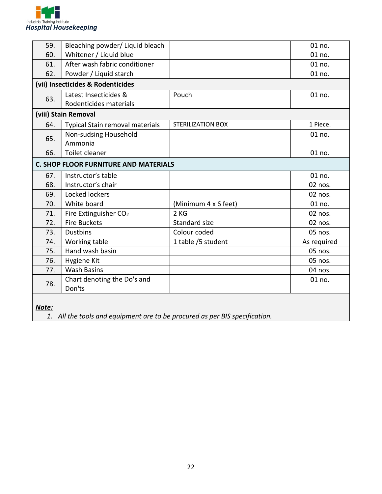

| 59.                                          | Bleaching powder/ Liquid bleach   |                          | 01 no.      |
|----------------------------------------------|-----------------------------------|--------------------------|-------------|
| 60.                                          | Whitener / Liquid blue            |                          | 01 no.      |
| 61.                                          | After wash fabric conditioner     |                          | 01 no.      |
| 62.                                          | Powder / Liquid starch            |                          | 01 no.      |
|                                              | (vii) Insecticides & Rodenticides |                          |             |
|                                              | Latest Insecticides &             | Pouch                    | 01 no.      |
| 63.                                          | Rodenticides materials            |                          |             |
|                                              | (viii) Stain Removal              |                          |             |
| 64.                                          | Typical Stain removal materials   | <b>STERILIZATION BOX</b> | 1 Piece.    |
| 65.                                          | Non-sudsing Household             |                          | 01 no.      |
|                                              | Ammonia                           |                          |             |
| 66.                                          | Toilet cleaner                    |                          | 01 no.      |
| <b>C. SHOP FLOOR FURNITURE AND MATERIALS</b> |                                   |                          |             |
| 67.                                          | Instructor's table                |                          | 01 no.      |
| 68.                                          | Instructor's chair                |                          | 02 nos.     |
| 69.                                          | Locked lockers                    |                          | 02 nos.     |
| 70.                                          | White board                       | (Minimum 4 x 6 feet)     | 01 no.      |
| 71.                                          | Fire Extinguisher CO <sub>2</sub> | 2KG                      | 02 nos.     |
| 72.                                          | <b>Fire Buckets</b>               | Standard size            | 02 nos.     |
| 73.                                          | <b>Dustbins</b>                   | Colour coded             | 05 nos.     |
| 74.                                          | Working table                     | 1 table /5 student       | As required |
| 75.                                          | Hand wash basin                   |                          | 05 nos.     |
| 76.                                          | Hygiene Kit                       |                          | 05 nos.     |
| 77.                                          | <b>Wash Basins</b>                |                          | 04 nos.     |
| 78.                                          | Chart denoting the Do's and       |                          | 01 no.      |
|                                              | Don'ts                            |                          |             |
|                                              |                                   |                          |             |

*Note:*

*1. All the tools and equipment are to be procured as per BIS specification.*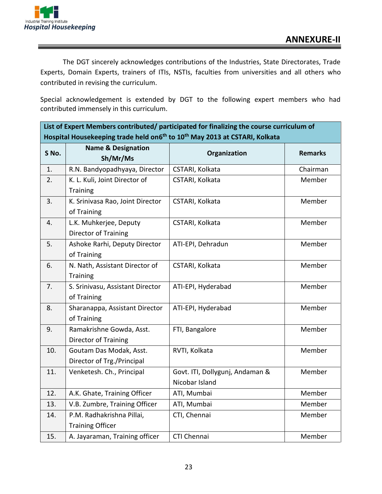The DGT sincerely acknowledges contributions of the Industries, State Directorates, Trade Experts, Domain Experts, trainers of ITIs, NSTIs, faculties from universities and all others who contributed in revising the curriculum.

Special acknowledgement is extended by DGT to the following expert members who had contributed immensely in this curriculum.

**List of Expert Members contributed/ participated for finalizing the course curriculum of** 

|       | Hospital Housekeeping trade held on6 <sup>th</sup> to 10 <sup>th</sup> May 2013 at CSTARI, Kolkata |                                                   |                |  |
|-------|----------------------------------------------------------------------------------------------------|---------------------------------------------------|----------------|--|
| S No. | <b>Name &amp; Designation</b><br>Sh/Mr/Ms                                                          | Organization                                      | <b>Remarks</b> |  |
| 1.    | R.N. Bandyopadhyaya, Director                                                                      | CSTARI, Kolkata                                   | Chairman       |  |
| 2.    | K. L. Kuli, Joint Director of<br><b>Training</b>                                                   | CSTARI, Kolkata                                   | Member         |  |
| 3.    | K. Srinivasa Rao, Joint Director<br>of Training                                                    | CSTARI, Kolkata                                   | Member         |  |
| 4.    | L.K. Muhkerjee, Deputy<br>Director of Training                                                     | CSTARI, Kolkata                                   | Member         |  |
| 5.    | Ashoke Rarhi, Deputy Director<br>of Training                                                       | ATI-EPI, Dehradun                                 | Member         |  |
| 6.    | N. Nath, Assistant Director of<br>Training                                                         | CSTARI, Kolkata                                   | Member         |  |
| 7.    | S. Srinivasu, Assistant Director<br>of Training                                                    | ATI-EPI, Hyderabad                                | Member         |  |
| 8.    | Sharanappa, Assistant Director<br>of Training                                                      | ATI-EPI, Hyderabad                                | Member         |  |
| 9.    | Ramakrishne Gowda, Asst.<br><b>Director of Training</b>                                            | FTI, Bangalore                                    | Member         |  |
| 10.   | Goutam Das Modak, Asst.<br>Director of Trg./Principal                                              | RVTI, Kolkata                                     | Member         |  |
| 11.   | Venketesh. Ch., Principal                                                                          | Govt. ITI, Dollygunj, Andaman &<br>Nicobar Island | Member         |  |
| 12.   | A.K. Ghate, Training Officer                                                                       | ATI, Mumbai                                       | Member         |  |
| 13.   | V.B. Zumbre, Training Officer                                                                      | ATI, Mumbai                                       | Member         |  |
| 14.   | P.M. Radhakrishna Pillai,<br><b>Training Officer</b>                                               | CTI, Chennai                                      | Member         |  |
| 15.   | A. Jayaraman, Training officer                                                                     | CTI Chennai                                       | Member         |  |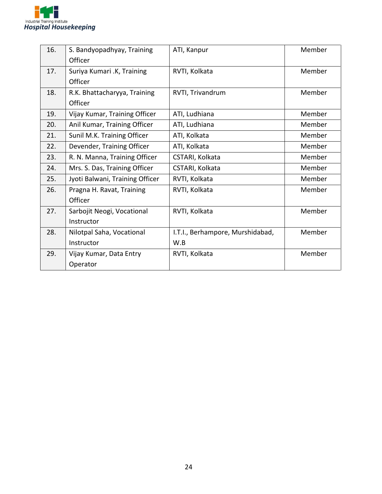

| 16. | S. Bandyopadhyay, Training      | ATI, Kanpur                      | Member |
|-----|---------------------------------|----------------------------------|--------|
|     | Officer                         |                                  |        |
| 17. | Suriya Kumari .K, Training      | RVTI, Kolkata                    | Member |
|     | Officer                         |                                  |        |
| 18. | R.K. Bhattacharyya, Training    | RVTI, Trivandrum                 | Member |
|     | Officer                         |                                  |        |
| 19. | Vijay Kumar, Training Officer   | ATI, Ludhiana                    | Member |
| 20. | Anil Kumar, Training Officer    | ATI, Ludhiana                    | Member |
| 21. | Sunil M.K. Training Officer     | ATI, Kolkata                     | Member |
| 22. | Devender, Training Officer      | ATI, Kolkata                     | Member |
| 23. | R. N. Manna, Training Officer   | CSTARI, Kolkata                  | Member |
| 24. | Mrs. S. Das, Training Officer   | CSTARI, Kolkata                  | Member |
| 25. | Jyoti Balwani, Training Officer | RVTI, Kolkata                    | Member |
| 26. | Pragna H. Ravat, Training       | RVTI, Kolkata                    | Member |
|     | Officer                         |                                  |        |
| 27. | Sarbojit Neogi, Vocational      | RVTI, Kolkata                    | Member |
|     | Instructor                      |                                  |        |
| 28. | Nilotpal Saha, Vocational       | I.T.I., Berhampore, Murshidabad, | Member |
|     | Instructor                      | W.B                              |        |
| 29. | Vijay Kumar, Data Entry         | RVTI, Kolkata                    | Member |
|     | Operator                        |                                  |        |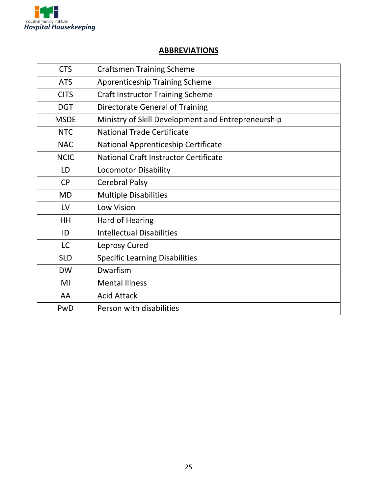

#### **ABBREVIATIONS**

| <b>CTS</b>  | <b>Craftsmen Training Scheme</b>                   |
|-------------|----------------------------------------------------|
| <b>ATS</b>  | <b>Apprenticeship Training Scheme</b>              |
| <b>CITS</b> | <b>Craft Instructor Training Scheme</b>            |
| <b>DGT</b>  | Directorate General of Training                    |
| <b>MSDE</b> | Ministry of Skill Development and Entrepreneurship |
| <b>NTC</b>  | <b>National Trade Certificate</b>                  |
| <b>NAC</b>  | National Apprenticeship Certificate                |
| <b>NCIC</b> | National Craft Instructor Certificate              |
| LD          | <b>Locomotor Disability</b>                        |
| <b>CP</b>   | <b>Cerebral Palsy</b>                              |
| <b>MD</b>   | <b>Multiple Disabilities</b>                       |
| LV          | Low Vision                                         |
| <b>HH</b>   | Hard of Hearing                                    |
| ID          | <b>Intellectual Disabilities</b>                   |
| <b>LC</b>   | Leprosy Cured                                      |
| <b>SLD</b>  | <b>Specific Learning Disabilities</b>              |
| <b>DW</b>   | Dwarfism                                           |
| MI          | <b>Mental Illness</b>                              |
| AA          | <b>Acid Attack</b>                                 |
| PwD         | Person with disabilities                           |